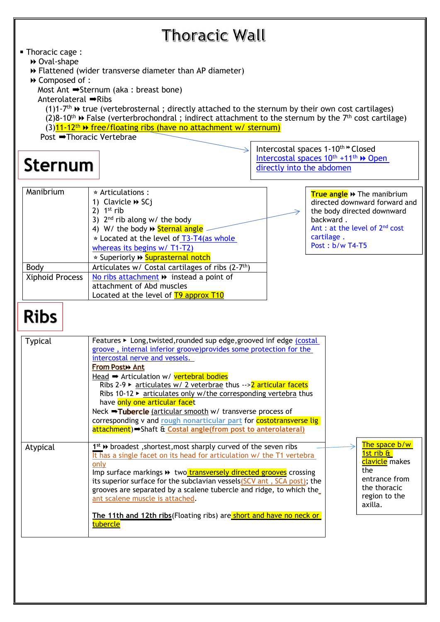| Thoracic Wall                                                                                                                                                                                                                                                                                                                                                                                                                                                                                                                                                                                                                                                                                  |                                                                                                                                                                                        |
|------------------------------------------------------------------------------------------------------------------------------------------------------------------------------------------------------------------------------------------------------------------------------------------------------------------------------------------------------------------------------------------------------------------------------------------------------------------------------------------------------------------------------------------------------------------------------------------------------------------------------------------------------------------------------------------------|----------------------------------------------------------------------------------------------------------------------------------------------------------------------------------------|
| • Thoracic cage :<br>▶ Oval-shape<br>→ Flattened (wider transverse diameter than AP diameter)<br>→ Composed of :<br>Most Ant $\Rightarrow$ Sternum (aka : breast bone)<br>Anterolateral → Ribs<br>$(1)1$ -7 <sup>th</sup> $\rightarrow$ true (vertebrosternal; directly attached to the sternum by their own cost cartilages)<br>$(2)8-10^{th}$ $\rightarrow$ False (verterbrochondral; indirect attachment to the sternum by the 7 <sup>th</sup> cost cartilage)<br>$(3)$ 11-12 <sup>th</sup> > free/floating ribs (have no attachment w/ sternum)<br>Post → Thoracic Vertebrae                                                                                                               | Intercostal spaces 1-10th ** Closed<br>Intercostal spaces 10 <sup>th</sup> +11 <sup>th</sup> >> Open                                                                                   |
| <b>Sternum</b>                                                                                                                                                                                                                                                                                                                                                                                                                                                                                                                                                                                                                                                                                 | directly into the abdomen                                                                                                                                                              |
| Manibrium<br>$\star$ Articulations :<br>1) Clavicle $\blacktriangleright$ SCj<br>2) $1st$ rib<br>3) $2nd$ rib along w/ the body<br>4) W/ the body >> Sternal angle<br>$\star$ Located at the level of T3-T4(as whole<br>whereas its begins w/ T1-T2)<br>* Superiorly >> Suprasternal notch<br>Body<br>Articulates w/ Costal cartilages of ribs (2-7 <sup>th</sup> )<br>No ribs attachment $\rightarrow$ instead a point of<br><b>Xiphoid Process</b><br>attachment of Abd muscles<br>Located at the level of T9 approx T10                                                                                                                                                                     | True angle >> The manibrium<br>directed downward forward and<br>the body directed downward<br>backward.<br>Ant : at the level of 2 <sup>nd</sup> cost<br>cartilage.<br>Post: b/w T4-T5 |
| <b>Ribs</b>                                                                                                                                                                                                                                                                                                                                                                                                                                                                                                                                                                                                                                                                                    |                                                                                                                                                                                        |
| Features ► Long, twisted, rounded sup edge, grooved inf edge (costal<br><b>Typical</b><br>groove, internal inferior groove) provides some protection for the<br>intercostal nerve and vessels.<br>From Post» Ant<br>Head $\rightarrow$ Articulation w/ vertebral bodies<br>Ribs 2-9 $\triangleright$ articulates w/ 2 veterbrae thus -->2 articular facets<br>Ribs 10-12 $\triangleright$ articulates only w/the corresponding vertebra thus<br>have only one articular facet<br>Neck $\rightarrow$ Tubercle (articular smooth w/ transverse process of<br>corresponding v and rough nonarticular part for costotransverse lig<br>attachment) Shaft & Costal angle(from post to anterolateral) |                                                                                                                                                                                        |
| 1st >> broadest, shortest, most sharply curved of the seven ribs<br>Atypical<br>It has a single facet on its head for articulation w/ the T1 vertebra<br>only<br>Imp surface markings >> two transversely directed grooves crossing<br>its superior surface for the subclavian vessels (SCV ant, SCA post); the<br>grooves are separated by a scalene tubercle and ridge, to which the<br>ant scalene muscle is attached.<br>The 11th and 12th ribs(Floating ribs) are short and have no neck or<br>tubercle                                                                                                                                                                                   | The space b/w<br>1st rib &<br><mark>clavicle</mark> makes<br>the<br>entrance from<br>the thoracic<br>region to the<br>axilla.                                                          |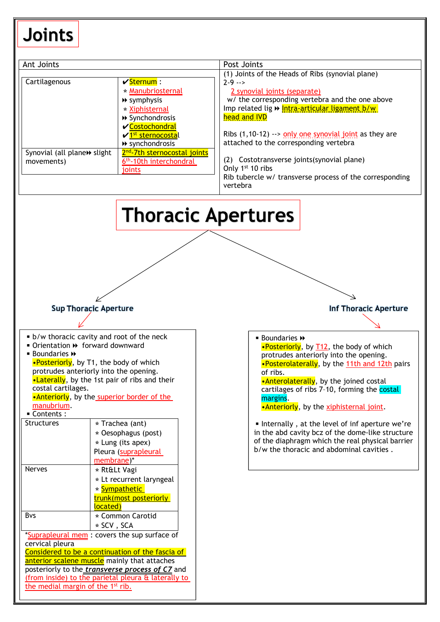# Joints

| Ant Joints<br>Cartilagenous<br>Synovial (all plane» slight<br>movements)                                                        | $\sqrt{\text{Sternum}}$ :<br>* Manubriosternal<br>$\rightarrow$ symphysis<br>* Xiphisternal<br>▶ Synchondrosis<br><b>√Costochondral</b><br>√ <sup>1st</sup> sternocostal<br>▶ synchondrosis<br>2 <sup>nd</sup> -7th sternocostal joints<br>6 <sup>th</sup> -10th interchondral<br>joints | Post Joints<br>(1) Joints of the Heads of Ribs (synovial plane)<br>$2 - 9$ --><br>2 synovial joints (separate)<br>w/ the corresponding vertebra and the one above<br>Imp related lig >> Intra-articular ligament b/w<br>head and IVD<br>Ribs $(1, 10-12)$ --> only one synovial joint as they are<br>attached to the corresponding vertebra<br>(2) Costotransverse joints (synovial plane)<br>Only 1 <sup>st</sup> 10 ribs<br>Rib tubercle w/ transverse process of the corresponding<br>vertebra |  |  |
|---------------------------------------------------------------------------------------------------------------------------------|------------------------------------------------------------------------------------------------------------------------------------------------------------------------------------------------------------------------------------------------------------------------------------------|---------------------------------------------------------------------------------------------------------------------------------------------------------------------------------------------------------------------------------------------------------------------------------------------------------------------------------------------------------------------------------------------------------------------------------------------------------------------------------------------------|--|--|
|                                                                                                                                 |                                                                                                                                                                                                                                                                                          | <b>Thoracic Apertures</b>                                                                                                                                                                                                                                                                                                                                                                                                                                                                         |  |  |
|                                                                                                                                 | <b>Sup Thoracic Aperture</b>                                                                                                                                                                                                                                                             | <b>Inf Thoracic Aperture</b>                                                                                                                                                                                                                                                                                                                                                                                                                                                                      |  |  |
|                                                                                                                                 |                                                                                                                                                                                                                                                                                          |                                                                                                                                                                                                                                                                                                                                                                                                                                                                                                   |  |  |
| ■ Orientation > forward downward<br><b>Boundaries <math>\rightarrow</math></b><br>costal cartilages.<br>manubrium.<br>Contents: | • b/w thoracic cavity and root of the neck<br>•Posteriorly, by T1, the body of which<br>protrudes anteriorly into the opening.<br>•Laterally, by the 1st pair of ribs and their<br>.Anteriorly, by the superior border of the                                                            | $\blacksquare$ Boundaries $\blacktriangleright$<br>•Posteriorly, by T12, the body of which<br>protrudes anteriorly into the opening.<br>•Posterolaterally, by the 11th and 12th pairs<br>of ribs.<br>•Anterolaterally, by the joined costal<br>cartilages of ribs 7-10, forming the costal<br>margins.<br>•Anteriorly, by the xiphisternal joint.                                                                                                                                                 |  |  |
| Structures                                                                                                                      | $\star$ Trachea (ant)<br>* Oesophagus (post)<br>$\star$ Lung (its apex)<br>Pleura (suprapleural<br>membrane)*                                                                                                                                                                            | Internally, at the level of inf aperture we're<br>in the abd cavity bcz of the dome-like structure<br>of the diaphragm which the real physical barrier<br>b/w the thoracic and abdominal cavities.                                                                                                                                                                                                                                                                                                |  |  |
| <b>Nerves</b>                                                                                                                   | * Rt≪ Vagi<br>* Lt recurrent laryngeal<br>* Sympathetic<br>trunk(most posteriorly<br>located)                                                                                                                                                                                            |                                                                                                                                                                                                                                                                                                                                                                                                                                                                                                   |  |  |
| Bvs                                                                                                                             | * Common Carotid<br>$\star$ SCV, SCA                                                                                                                                                                                                                                                     |                                                                                                                                                                                                                                                                                                                                                                                                                                                                                                   |  |  |
| cervical pleura                                                                                                                 | *Suprapleural mem : covers the sup surface of<br>Considered to be a continuation of the fascia of<br>anterior scalene muscle mainly that attaches<br>posteriorly to the <i>transverse process of C7</i> and<br>(from inside) to the parietal pleura & laterally to                       |                                                                                                                                                                                                                                                                                                                                                                                                                                                                                                   |  |  |

the medial margin of the 1<sup>st</sup> rib.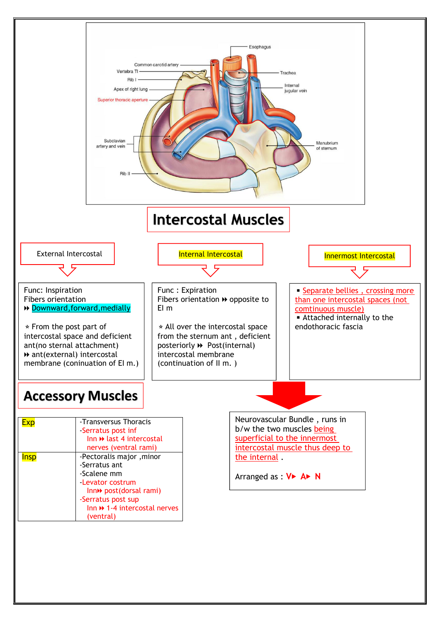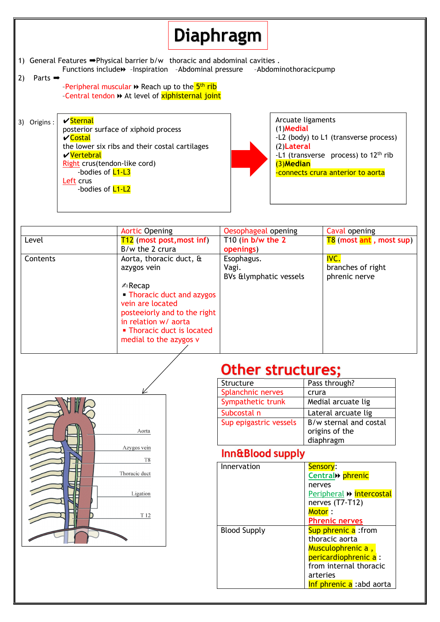# **Diaphragm**

1) General Features ➡Physical barrier b/w thoracic and abdominal cavities .

Functions include⏩ –Inspiration –Abdominal pressure –Abdominothoracicpump

#### 2) Parts ➡

-Peripheral muscular ➡ Reach up to the <mark>5<sup>th</sup> rib</mark> –Central tendon ⏩ At levelof xiphisternal joint

3) Origins : ✔Sternal posterior surface of xiphoid process ✔Costal the lower six ribs and their costal cartilages ✔Vertebral Right crus(tendon-like cord) -bodies of **L1-L3** Left crus -bodies of **L1-L2** 



|          | <b>Aortic Opening</b>        | Oesophageal opening             | Caval opening                  |
|----------|------------------------------|---------------------------------|--------------------------------|
| Level    | $T12$ (most post, most inf)  | T <sub>10</sub> (in b/w the $2$ | <b>T8</b> (most ant, most sup) |
|          | B/w the 2 crura              | openings)                       |                                |
| Contents | Aorta, thoracic duct, &      | Esophagus.                      | IVC.                           |
|          | azygos vein                  | Vagi.                           | branches of right              |
|          |                              | BVs &lymphatic vessels          | phrenic nerve                  |
|          | $\triangle$ Recap            |                                 |                                |
|          | • Thoracic duct and azygos   |                                 |                                |
|          | vein are located             |                                 |                                |
|          | posteejorly and to the right |                                 |                                |
|          | in relation w/ aorta         |                                 |                                |
|          | • Thoracic duct is located   |                                 |                                |
|          | medial to the azygos v       |                                 |                                |
|          |                              |                                 |                                |



### **Other structures;**

| Structure              | Pass through?          |
|------------------------|------------------------|
| Splanchnic nerves      | crura                  |
| Sympathetic trunk      | Medial arcuate lig     |
| Subcostal n            | Lateral arcuate lig    |
| Sup epigastric vessels | B/w sternal and costal |
|                        | origins of the         |
|                        | diaphragm              |

### Inn&Blood supply

| Innervation         | Sensory:                  |
|---------------------|---------------------------|
|                     | Central» phrenic          |
|                     | nerves                    |
|                     | Peripheral >> intercostal |
|                     | nerves (T7-T12)           |
|                     | Motor:                    |
|                     | <b>Phrenic nerves</b>     |
| <b>Blood Supply</b> | Sup phrenic a: from       |
|                     | thoracic aorta            |
|                     | Musculophrenic a,         |
|                     | pericardiophrenic a :     |
|                     | from internal thoracic    |
|                     | arteries                  |
|                     | Inf phrenic a :abd aorta  |